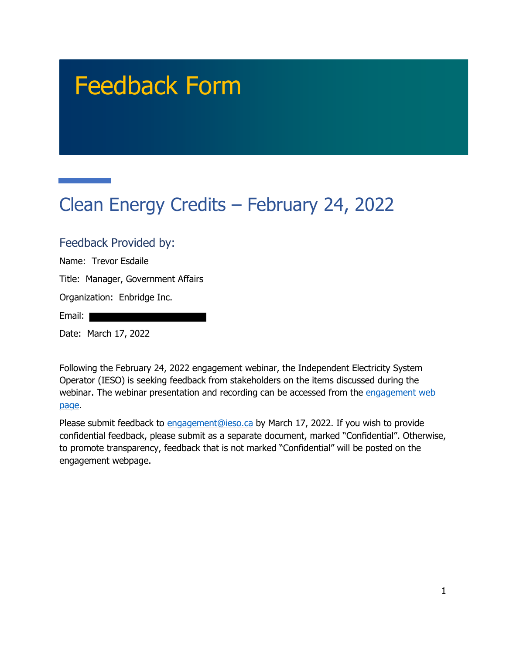# Feedback Form

## Clean Energy Credits – February 24, 2022

#### Feedback Provided by:

Name: Trevor Esdaile

Title: Manager, Government Affairs

Organization: Enbridge Inc.

Email: I

Date: March 17, 2022

Following the February 24, 2022 engagement webinar, the Independent Electricity System Operator (IESO) is seeking feedback from stakeholders on the items discussed during the webinar. The webinar presentation and recording can be accessed from the engagement web page.

Please submit feedback to engagement@ieso.ca by March 17, 2022. If you wish to provide confidential feedback, please submit as a separate document, marked "Confidential". Otherwise, to promote transparency, feedback that is not marked "Confidential" will be posted on the engagement webpage.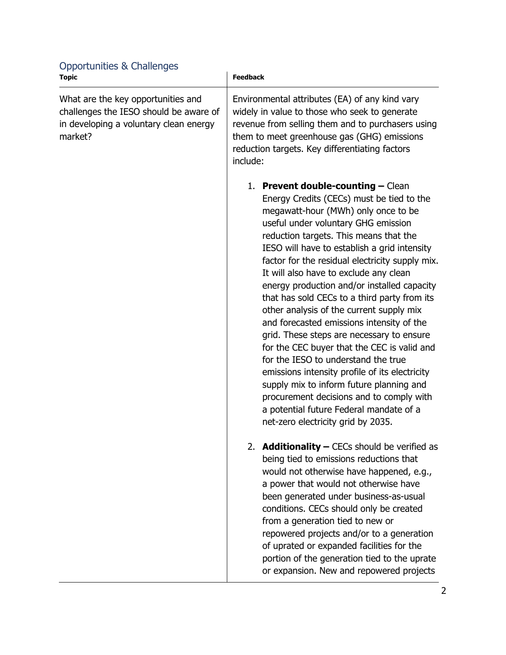| <b>Topic</b>                                                                                                                      | <b>Feedback</b>                                                                                                                                                                                                                                                                                                                                                                                                                                                                                                                                                                                                                                                                                                                                                                                                                                                                                              |
|-----------------------------------------------------------------------------------------------------------------------------------|--------------------------------------------------------------------------------------------------------------------------------------------------------------------------------------------------------------------------------------------------------------------------------------------------------------------------------------------------------------------------------------------------------------------------------------------------------------------------------------------------------------------------------------------------------------------------------------------------------------------------------------------------------------------------------------------------------------------------------------------------------------------------------------------------------------------------------------------------------------------------------------------------------------|
| What are the key opportunities and<br>challenges the IESO should be aware of<br>in developing a voluntary clean energy<br>market? | Environmental attributes (EA) of any kind vary<br>widely in value to those who seek to generate<br>revenue from selling them and to purchasers using<br>them to meet greenhouse gas (GHG) emissions<br>reduction targets. Key differentiating factors<br>include:                                                                                                                                                                                                                                                                                                                                                                                                                                                                                                                                                                                                                                            |
|                                                                                                                                   | 1. Prevent double-counting $-$ Clean<br>Energy Credits (CECs) must be tied to the<br>megawatt-hour (MWh) only once to be<br>useful under voluntary GHG emission<br>reduction targets. This means that the<br>IESO will have to establish a grid intensity<br>factor for the residual electricity supply mix.<br>It will also have to exclude any clean<br>energy production and/or installed capacity<br>that has sold CECs to a third party from its<br>other analysis of the current supply mix<br>and forecasted emissions intensity of the<br>grid. These steps are necessary to ensure<br>for the CEC buyer that the CEC is valid and<br>for the IESO to understand the true<br>emissions intensity profile of its electricity<br>supply mix to inform future planning and<br>procurement decisions and to comply with<br>a potential future Federal mandate of a<br>net-zero electricity grid by 2035. |
|                                                                                                                                   | 2. <b>Additionality - CECs should be verified as</b><br>being tied to emissions reductions that<br>would not otherwise have happened, e.g.,<br>a power that would not otherwise have<br>been generated under business-as-usual<br>conditions. CECs should only be created<br>from a generation tied to new or<br>repowered projects and/or to a generation<br>of uprated or expanded facilities for the<br>portion of the generation tied to the uprate<br>or expansion. New and repowered projects                                                                                                                                                                                                                                                                                                                                                                                                          |

### Opportunities & Challenges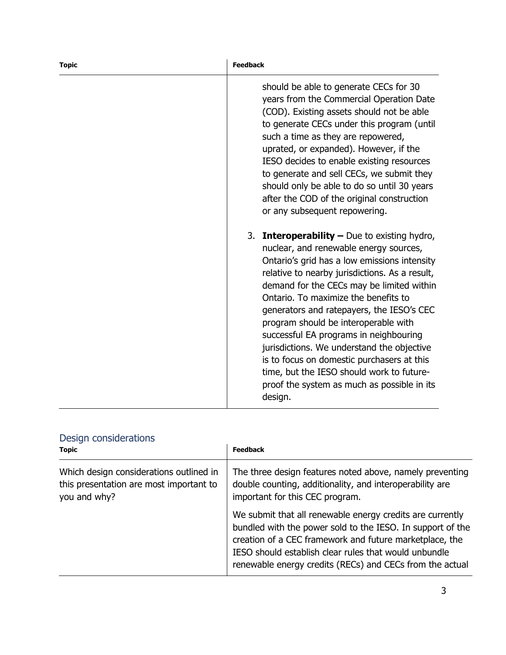| <b>Topic</b> | <b>Feedback</b>                                                                                                                                                                                                                                                                                                                                                                                                                                                                                                                                                                                                        |
|--------------|------------------------------------------------------------------------------------------------------------------------------------------------------------------------------------------------------------------------------------------------------------------------------------------------------------------------------------------------------------------------------------------------------------------------------------------------------------------------------------------------------------------------------------------------------------------------------------------------------------------------|
|              | should be able to generate CECs for 30<br>years from the Commercial Operation Date<br>(COD). Existing assets should not be able<br>to generate CECs under this program (until<br>such a time as they are repowered,<br>uprated, or expanded). However, if the<br>IESO decides to enable existing resources<br>to generate and sell CECs, we submit they<br>should only be able to do so until 30 years<br>after the COD of the original construction<br>or any subsequent repowering.                                                                                                                                  |
|              | 3. <b>Interoperability -</b> Due to existing hydro,<br>nuclear, and renewable energy sources,<br>Ontario's grid has a low emissions intensity<br>relative to nearby jurisdictions. As a result,<br>demand for the CECs may be limited within<br>Ontario. To maximize the benefits to<br>generators and ratepayers, the IESO's CEC<br>program should be interoperable with<br>successful EA programs in neighbouring<br>jurisdictions. We understand the objective<br>is to focus on domestic purchasers at this<br>time, but the IESO should work to future-<br>proof the system as much as possible in its<br>design. |

|  | Design considerations |
|--|-----------------------|
|  |                       |

| <b>Topic</b>                                                                                       | <b>Feedback</b>                                                                                                                                                                                                                                                                                         |
|----------------------------------------------------------------------------------------------------|---------------------------------------------------------------------------------------------------------------------------------------------------------------------------------------------------------------------------------------------------------------------------------------------------------|
| Which design considerations outlined in<br>this presentation are most important to<br>you and why? | The three design features noted above, namely preventing<br>double counting, additionality, and interoperability are<br>important for this CEC program.                                                                                                                                                 |
|                                                                                                    | We submit that all renewable energy credits are currently<br>bundled with the power sold to the IESO. In support of the<br>creation of a CEC framework and future marketplace, the<br>IESO should establish clear rules that would unbundle<br>renewable energy credits (RECs) and CECs from the actual |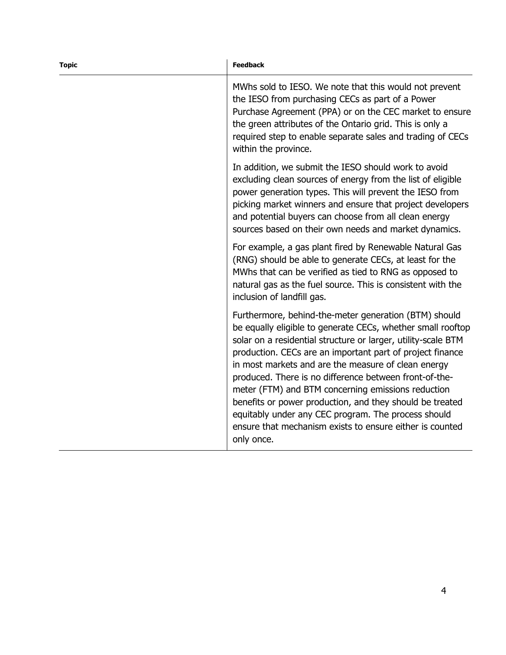| <b>Topic</b> | <b>Feedback</b>                                                                                                                                                                                                                                                                                                                                                                                                                                                                                                                                                                                                        |
|--------------|------------------------------------------------------------------------------------------------------------------------------------------------------------------------------------------------------------------------------------------------------------------------------------------------------------------------------------------------------------------------------------------------------------------------------------------------------------------------------------------------------------------------------------------------------------------------------------------------------------------------|
|              | MWhs sold to IESO. We note that this would not prevent<br>the IESO from purchasing CECs as part of a Power<br>Purchase Agreement (PPA) or on the CEC market to ensure<br>the green attributes of the Ontario grid. This is only a<br>required step to enable separate sales and trading of CECs<br>within the province.                                                                                                                                                                                                                                                                                                |
|              | In addition, we submit the IESO should work to avoid<br>excluding clean sources of energy from the list of eligible<br>power generation types. This will prevent the IESO from<br>picking market winners and ensure that project developers<br>and potential buyers can choose from all clean energy<br>sources based on their own needs and market dynamics.                                                                                                                                                                                                                                                          |
|              | For example, a gas plant fired by Renewable Natural Gas<br>(RNG) should be able to generate CECs, at least for the<br>MWhs that can be verified as tied to RNG as opposed to<br>natural gas as the fuel source. This is consistent with the<br>inclusion of landfill gas.                                                                                                                                                                                                                                                                                                                                              |
|              | Furthermore, behind-the-meter generation (BTM) should<br>be equally eligible to generate CECs, whether small rooftop<br>solar on a residential structure or larger, utility-scale BTM<br>production. CECs are an important part of project finance<br>in most markets and are the measure of clean energy<br>produced. There is no difference between front-of-the-<br>meter (FTM) and BTM concerning emissions reduction<br>benefits or power production, and they should be treated<br>equitably under any CEC program. The process should<br>ensure that mechanism exists to ensure either is counted<br>only once. |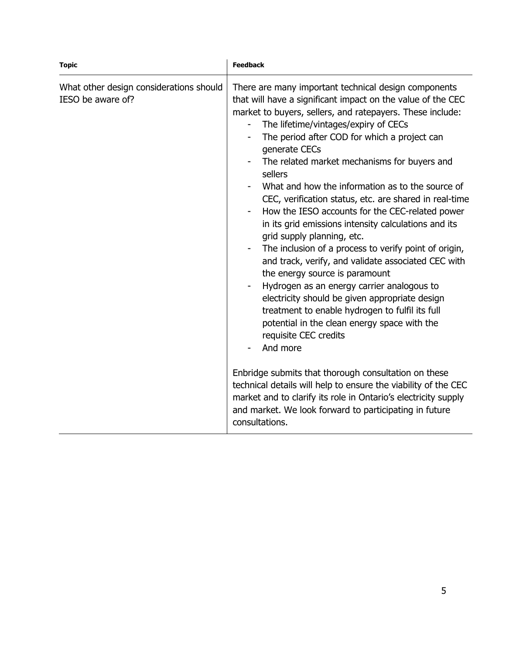| <b>Topic</b>                                                 | <b>Feedback</b>                                                                                                                                                                                                                                                                                                                                                                                                                                                                                                                                                                                                                                                                                                                                                                                                                                                                                                                                                                                                                                                       |
|--------------------------------------------------------------|-----------------------------------------------------------------------------------------------------------------------------------------------------------------------------------------------------------------------------------------------------------------------------------------------------------------------------------------------------------------------------------------------------------------------------------------------------------------------------------------------------------------------------------------------------------------------------------------------------------------------------------------------------------------------------------------------------------------------------------------------------------------------------------------------------------------------------------------------------------------------------------------------------------------------------------------------------------------------------------------------------------------------------------------------------------------------|
| What other design considerations should<br>IESO be aware of? | There are many important technical design components<br>that will have a significant impact on the value of the CEC<br>market to buyers, sellers, and ratepayers. These include:<br>The lifetime/vintages/expiry of CECs<br>The period after COD for which a project can<br>generate CECs<br>The related market mechanisms for buyers and<br>sellers<br>What and how the information as to the source of<br>CEC, verification status, etc. are shared in real-time<br>How the IESO accounts for the CEC-related power<br>$\qquad \qquad \blacksquare$<br>in its grid emissions intensity calculations and its<br>grid supply planning, etc.<br>The inclusion of a process to verify point of origin,<br>and track, verify, and validate associated CEC with<br>the energy source is paramount<br>Hydrogen as an energy carrier analogous to<br>$\qquad \qquad \blacksquare$<br>electricity should be given appropriate design<br>treatment to enable hydrogen to fulfil its full<br>potential in the clean energy space with the<br>requisite CEC credits<br>And more |
|                                                              | Enbridge submits that thorough consultation on these<br>technical details will help to ensure the viability of the CEC<br>market and to clarify its role in Ontario's electricity supply<br>and market. We look forward to participating in future<br>consultations.                                                                                                                                                                                                                                                                                                                                                                                                                                                                                                                                                                                                                                                                                                                                                                                                  |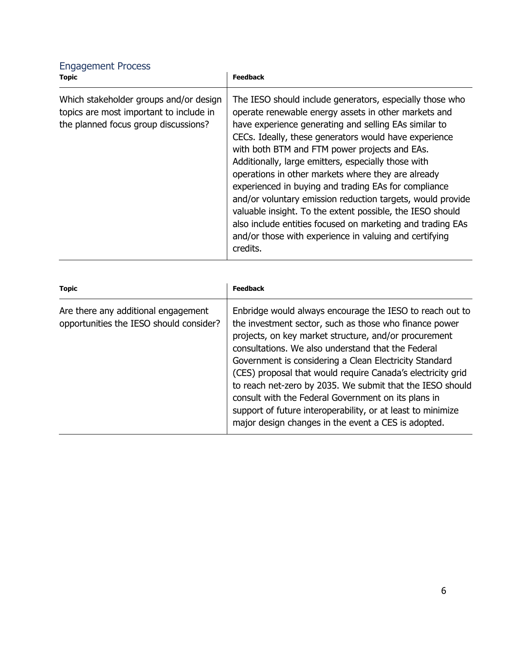| <b>Engagement Process</b><br><b>Topic</b>                                                                                 | <b>Feedback</b>                                                                                                                                                                                                                                                                                                                                                                                                                                                                                                                                                                                                                                                                                                         |
|---------------------------------------------------------------------------------------------------------------------------|-------------------------------------------------------------------------------------------------------------------------------------------------------------------------------------------------------------------------------------------------------------------------------------------------------------------------------------------------------------------------------------------------------------------------------------------------------------------------------------------------------------------------------------------------------------------------------------------------------------------------------------------------------------------------------------------------------------------------|
| Which stakeholder groups and/or design<br>topics are most important to include in<br>the planned focus group discussions? | The IESO should include generators, especially those who<br>operate renewable energy assets in other markets and<br>have experience generating and selling EAs similar to<br>CECs. Ideally, these generators would have experience<br>with both BTM and FTM power projects and EAs.<br>Additionally, large emitters, especially those with<br>operations in other markets where they are already<br>experienced in buying and trading EAs for compliance<br>and/or voluntary emission reduction targets, would provide<br>valuable insight. To the extent possible, the IESO should<br>also include entities focused on marketing and trading EAs<br>and/or those with experience in valuing and certifying<br>credits. |

| <b>Topic</b>                                                                   | <b>Feedback</b>                                                                                                                                                                                                                                                                                                                                                                                                                                                                                                                                                                                      |
|--------------------------------------------------------------------------------|------------------------------------------------------------------------------------------------------------------------------------------------------------------------------------------------------------------------------------------------------------------------------------------------------------------------------------------------------------------------------------------------------------------------------------------------------------------------------------------------------------------------------------------------------------------------------------------------------|
| Are there any additional engagement<br>opportunities the IESO should consider? | Enbridge would always encourage the IESO to reach out to<br>the investment sector, such as those who finance power<br>projects, on key market structure, and/or procurement<br>consultations. We also understand that the Federal<br>Government is considering a Clean Electricity Standard<br>(CES) proposal that would require Canada's electricity grid<br>to reach net-zero by 2035. We submit that the IESO should<br>consult with the Federal Government on its plans in<br>support of future interoperability, or at least to minimize<br>major design changes in the event a CES is adopted. |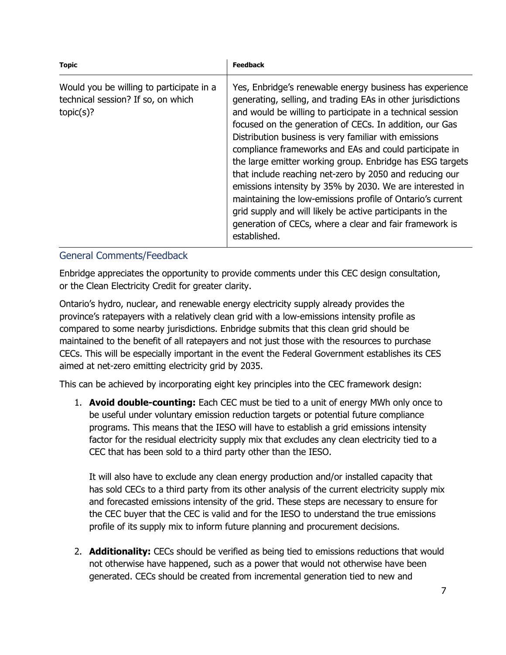| <b>Topic</b>                                                                                | <b>Feedback</b>                                                                                                                                                                                                                                                                                                                                                                                                                                                                                                                                                                                                                                                                                                                                               |
|---------------------------------------------------------------------------------------------|---------------------------------------------------------------------------------------------------------------------------------------------------------------------------------------------------------------------------------------------------------------------------------------------------------------------------------------------------------------------------------------------------------------------------------------------------------------------------------------------------------------------------------------------------------------------------------------------------------------------------------------------------------------------------------------------------------------------------------------------------------------|
| Would you be willing to participate in a<br>technical session? If so, on which<br>topic(s)? | Yes, Enbridge's renewable energy business has experience<br>generating, selling, and trading EAs in other jurisdictions<br>and would be willing to participate in a technical session<br>focused on the generation of CECs. In addition, our Gas<br>Distribution business is very familiar with emissions<br>compliance frameworks and EAs and could participate in<br>the large emitter working group. Enbridge has ESG targets<br>that include reaching net-zero by 2050 and reducing our<br>emissions intensity by 35% by 2030. We are interested in<br>maintaining the low-emissions profile of Ontario's current<br>grid supply and will likely be active participants in the<br>generation of CECs, where a clear and fair framework is<br>established. |

#### General Comments/Feedback

Enbridge appreciates the opportunity to provide comments under this CEC design consultation, or the Clean Electricity Credit for greater clarity.

Ontario's hydro, nuclear, and renewable energy electricity supply already provides the province's ratepayers with a relatively clean grid with a low-emissions intensity profile as compared to some nearby jurisdictions. Enbridge submits that this clean grid should be maintained to the benefit of all ratepayers and not just those with the resources to purchase CECs. This will be especially important in the event the Federal Government establishes its CES aimed at net-zero emitting electricity grid by 2035.

This can be achieved by incorporating eight key principles into the CEC framework design:

1. **Avoid double-counting:** Each CEC must be tied to a unit of energy MWh only once to be useful under voluntary emission reduction targets or potential future compliance programs. This means that the IESO will have to establish a grid emissions intensity factor for the residual electricity supply mix that excludes any clean electricity tied to a CEC that has been sold to a third party other than the IESO.

It will also have to exclude any clean energy production and/or installed capacity that has sold CECs to a third party from its other analysis of the current electricity supply mix and forecasted emissions intensity of the grid. These steps are necessary to ensure for the CEC buyer that the CEC is valid and for the IESO to understand the true emissions profile of its supply mix to inform future planning and procurement decisions.

2. **Additionality:** CECs should be verified as being tied to emissions reductions that would not otherwise have happened, such as a power that would not otherwise have been generated. CECs should be created from incremental generation tied to new and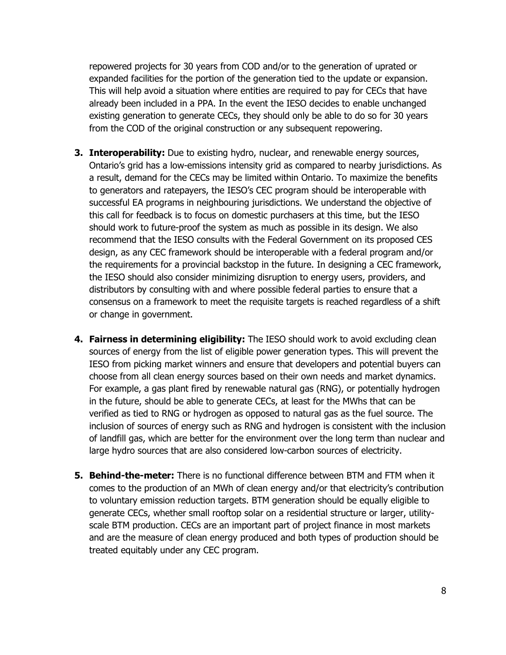repowered projects for 30 years from COD and/or to the generation of uprated or expanded facilities for the portion of the generation tied to the update or expansion. This will help avoid a situation where entities are required to pay for CECs that have already been included in a PPA. In the event the IESO decides to enable unchanged existing generation to generate CECs, they should only be able to do so for 30 years from the COD of the original construction or any subsequent repowering.

- **3. Interoperability:** Due to existing hydro, nuclear, and renewable energy sources, Ontario's grid has a low-emissions intensity grid as compared to nearby jurisdictions. As a result, demand for the CECs may be limited within Ontario. To maximize the benefits to generators and ratepayers, the IESO's CEC program should be interoperable with successful EA programs in neighbouring jurisdictions. We understand the objective of this call for feedback is to focus on domestic purchasers at this time, but the IESO should work to future-proof the system as much as possible in its design. We also recommend that the IESO consults with the Federal Government on its proposed CES design, as any CEC framework should be interoperable with a federal program and/or the requirements for a provincial backstop in the future. In designing a CEC framework, the IESO should also consider minimizing disruption to energy users, providers, and distributors by consulting with and where possible federal parties to ensure that a consensus on a framework to meet the requisite targets is reached regardless of a shift or change in government.
- **4. Fairness in determining eligibility:** The IESO should work to avoid excluding clean sources of energy from the list of eligible power generation types. This will prevent the IESO from picking market winners and ensure that developers and potential buyers can choose from all clean energy sources based on their own needs and market dynamics. For example, a gas plant fired by renewable natural gas (RNG), or potentially hydrogen in the future, should be able to generate CECs, at least for the MWhs that can be verified as tied to RNG or hydrogen as opposed to natural gas as the fuel source. The inclusion of sources of energy such as RNG and hydrogen is consistent with the inclusion of landfill gas, which are better for the environment over the long term than nuclear and large hydro sources that are also considered low-carbon sources of electricity.
- **5. Behind-the-meter:** There is no functional difference between BTM and FTM when it comes to the production of an MWh of clean energy and/or that electricity's contribution to voluntary emission reduction targets. BTM generation should be equally eligible to generate CECs, whether small rooftop solar on a residential structure or larger, utilityscale BTM production. CECs are an important part of project finance in most markets and are the measure of clean energy produced and both types of production should be treated equitably under any CEC program.